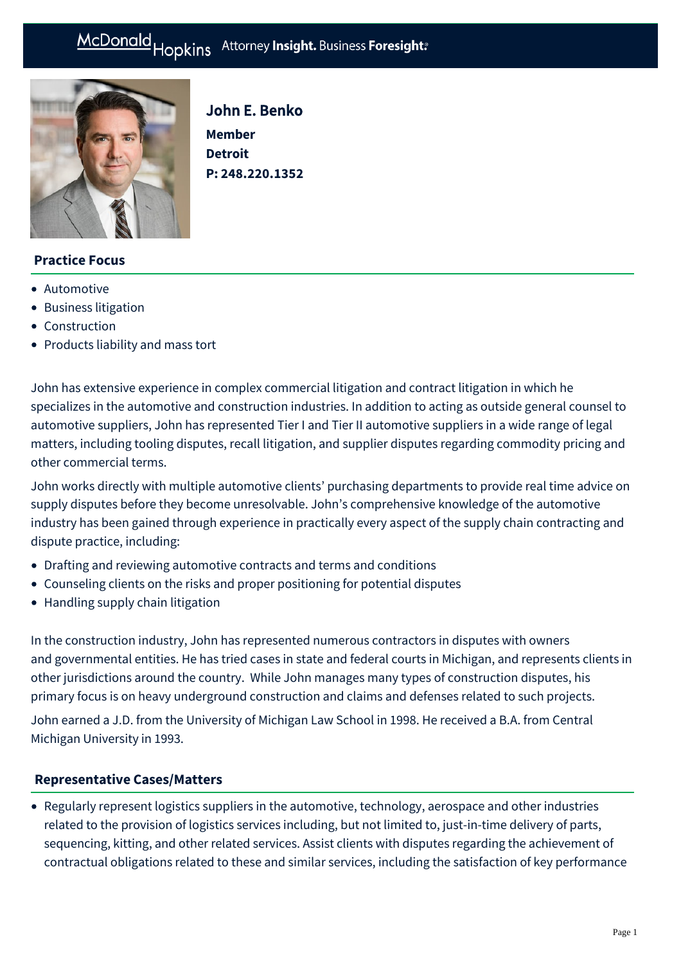# McDonald Hopkins Attorney Insight. Business Foresight:



# John E. Benko **Member Detroit P: [248.220.1352](tel:248.220.1352)**

# **Practice Focus**

- [Automotive](https://mcdonaldhopkins.com/Expertise/Industries/Automotive)
- [Business litigation](https://mcdonaldhopkins.com/Expertise/Litigation/Business-litigation)
- [Construction](https://mcdonaldhopkins.com/Expertise/Industries/Construction)
- [Products liability and mass tort](https://mcdonaldhopkins.com/Expertise/Litigation/Products-liability-and-mass-tort)

John has extensive experience in complex commercial litigation and contract litigation in which he specializes in the automotive and construction industries. In addition to acting as outside general counsel to automotive suppliers, John has represented Tier I and Tier II automotive suppliers in a wide range of legal matters, including tooling disputes, recall litigation, and supplier disputes regarding commodity pricing and other commercial terms.

John works directly with multiple automotive clients' purchasing departments to provide real time advice on supply disputes before they become unresolvable. John's comprehensive knowledge of the automotive industry has been gained through experience in practically every aspect of the supply chain contracting and dispute practice, including:

- Drafting and reviewing automotive contracts and terms and conditions
- Counseling clients on the risks and proper positioning for potential disputes
- Handling supply chain litigation

In the construction industry, John has represented numerous contractors in disputes with owners and governmental entities. He has tried cases in state and federal courts in Michigan, and represents clients in other jurisdictions around the country. While John manages many types of construction disputes, his primary focus is on heavy underground construction and claims and defenses related to such projects.

John earned a J.D. from the University of Michigan Law School in 1998. He received a B.A. from Central Michigan University in 1993.

#### **[Representative Cases/Matters](#page-0-0)**

<span id="page-0-0"></span>Regularly represent logistics suppliers in the automotive, technology, aerospace and other industries related to the provision of logistics services including, but not limited to, just-in-time delivery of parts, sequencing, kitting, and other related services. Assist clients with disputes regarding the achievement of contractual obligations related to these and similar services, including the satisfaction of key performance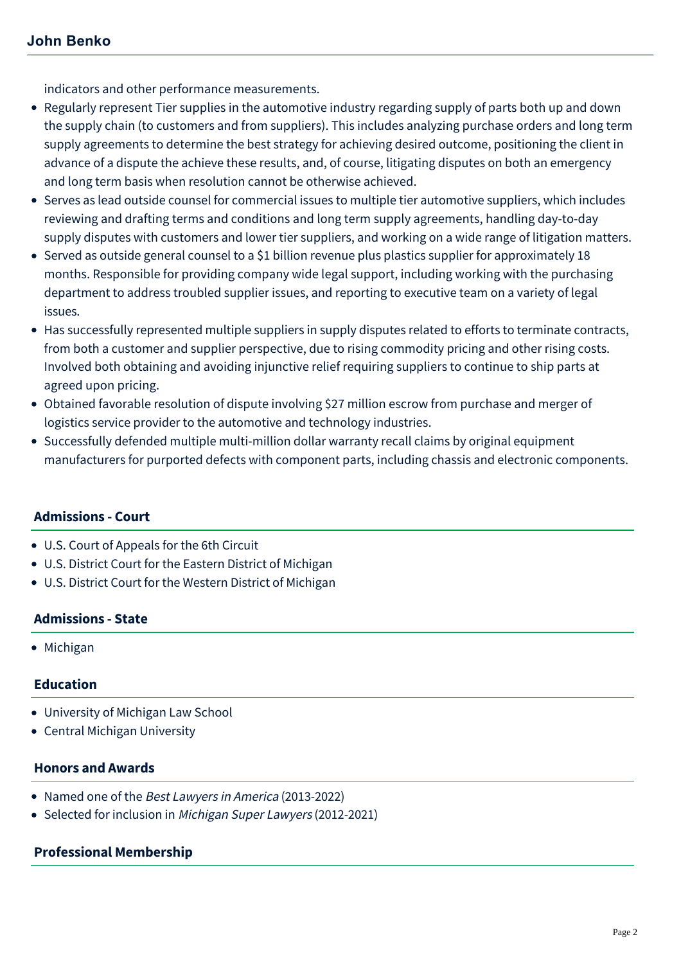indicators and other performance measurements.

- Regularly represent Tier supplies in the automotive industry regarding supply of parts both up and down the supply chain (to customers and from suppliers). This includes analyzing purchase orders and long term supply agreements to determine the best strategy for achieving desired outcome, positioning the client in advance of a dispute the achieve these results, and, of course, litigating disputes on both an emergency and long term basis when resolution cannot be otherwise achieved.
- Serves as lead outside counsel for commercial issues to multiple tier automotive suppliers, which includes reviewing and drafting terms and conditions and long term supply agreements, handling day-to-day supply disputes with customers and lower tier suppliers, and working on a wide range of litigation matters.
- Served as outside general counsel to a \$1 billion revenue plus plastics supplier for approximately 18 months. Responsible for providing company wide legal support, including working with the purchasing department to address troubled supplier issues, and reporting to executive team on a variety of legal issues.
- Has successfully represented multiple suppliers in supply disputes related to efforts to terminate contracts, from both a customer and supplier perspective, due to rising commodity pricing and other rising costs. Involved both obtaining and avoiding injunctive relief requiring suppliers to continue to ship parts at agreed upon pricing.
- Obtained favorable resolution of dispute involving \$27 million escrow from purchase and merger of logistics service provider to the automotive and technology industries.
- Successfully defended multiple multi-million dollar warranty recall claims by original equipment manufacturers for purported defects with component parts, including chassis and electronic components.

## **Admissions - Court**

- U.S. Court of Appeals for the 6th Circuit
- U.S. District Court for the Eastern District of Michigan
- U.S. District Court for the Western District of Michigan

#### **Admissions - State**

• Michigan

## **Education**

- University of Michigan Law School
- Central Michigan University

#### **Honors and Awards**

- Named one of the Best Lawyers in America (2013-2022)
- Selected for inclusion in Michigan Super Lawyers (2012-2021)

## **Professional Membership**